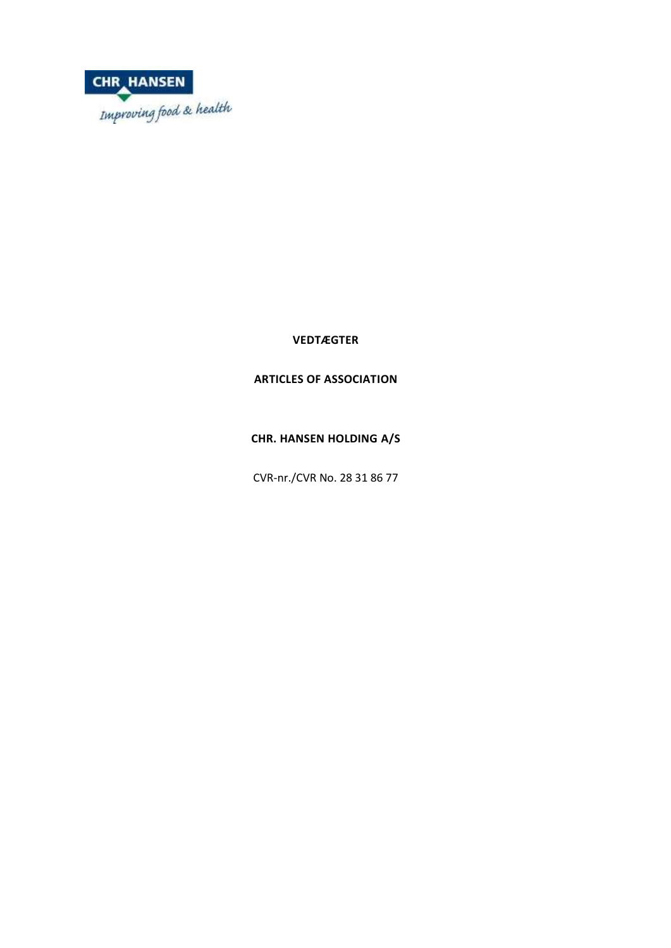

**VEDTÆGTER**

# **ARTICLES OF ASSOCIATION**

**CHR. HANSEN HOLDING A/S**

CVR-nr./CVR No. 28 31 86 77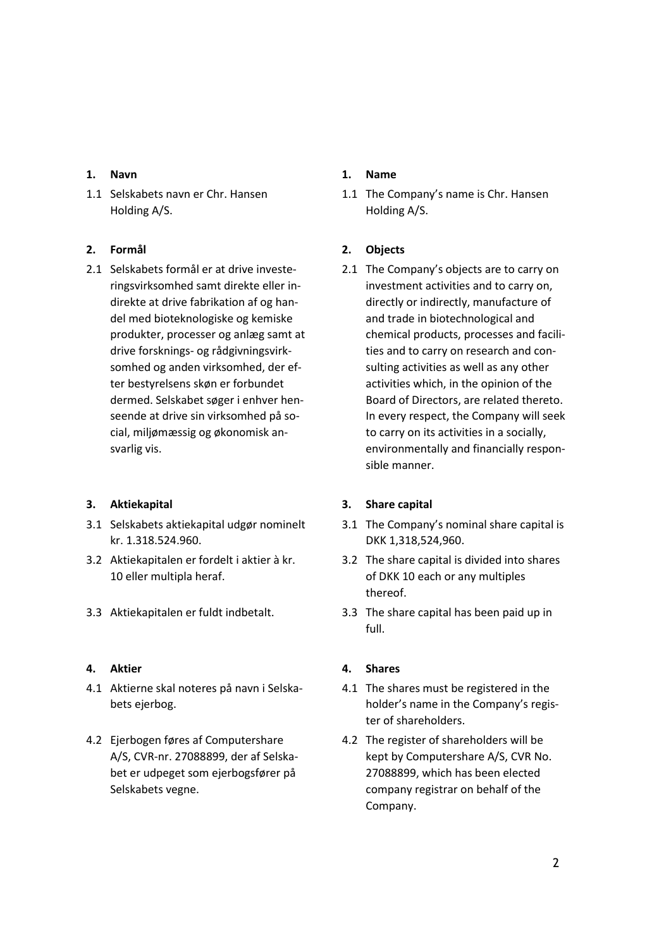### **1. Navn**

1.1 Selskabets navn er Chr. Hansen Holding A/S.

## **2. Formål**

2.1 Selskabets formål er at drive investeringsvirksomhed samt direkte eller indirekte at drive fabrikation af og handel med bioteknologiske og kemiske produkter, processer og anlæg samt at drive forsknings- og rådgivningsvirksomhed og anden virksomhed, der efter bestyrelsens skøn er forbundet dermed. Selskabet søger i enhver henseende at drive sin virksomhed på social, miljømæssig og økonomisk ansvarlig vis.

## **3. Aktiekapital**

- 3.1 Selskabets aktiekapital udgør nominelt kr. 1.318.524.960.
- 3.2 Aktiekapitalen er fordelt i aktier à kr. 10 eller multipla heraf.
- 

## **4. Aktier**

- 4.1 Aktierne skal noteres på navn i Selskabets ejerbog.
- 4.2 Ejerbogen føres af Computershare A/S, CVR-nr. 27088899, der af Selskabet er udpeget som ejerbogsfører på Selskabets vegne.

## **1. Name**

1.1 The Company's name is Chr. Hansen Holding A/S.

## **2. Objects**

2.1 The Company's objects are to carry on investment activities and to carry on, directly or indirectly, manufacture of and trade in biotechnological and chemical products, processes and facilities and to carry on research and consulting activities as well as any other activities which, in the opinion of the Board of Directors, are related thereto. In every respect, the Company will seek to carry on its activities in a socially, environmentally and financially responsible manner.

## **3. Share capital**

- 3.1 The Company's nominal share capital is DKK 1,318,524,960.
- 3.2 The share capital is divided into shares of DKK 10 each or any multiples thereof.
- 3.3 Aktiekapitalen er fuldt indbetalt. 3.3 The share capital has been paid up in full.

## **4. Shares**

- 4.1 The shares must be registered in the holder's name in the Company's register of shareholders.
- 4.2 The register of shareholders will be kept by Computershare A/S, CVR No. 27088899, which has been elected company registrar on behalf of the Company.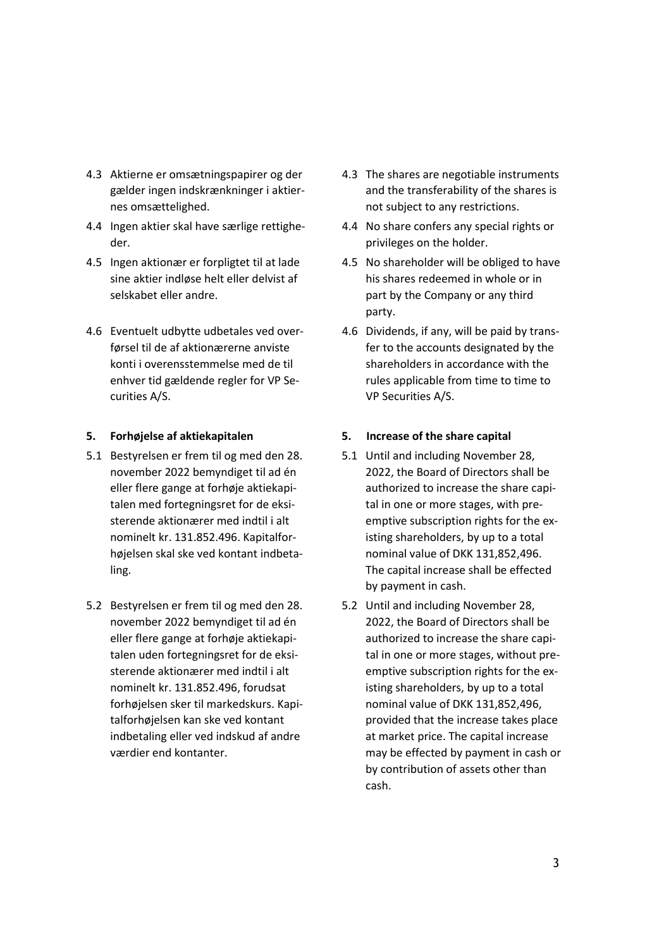- 4.3 Aktierne er omsætningspapirer og der gælder ingen indskrænkninger i aktiernes omsættelighed.
- 4.4 Ingen aktier skal have særlige rettigheder.
- 4.5 Ingen aktionær er forpligtet til at lade sine aktier indløse helt eller delvist af selskabet eller andre.
- 4.6 Eventuelt udbytte udbetales ved overførsel til de af aktionærerne anviste konti i overensstemmelse med de til enhver tid gældende regler for VP Securities A/S.

- 5.1 Bestyrelsen er frem til og med den 28. november 2022 bemyndiget til ad én eller flere gange at forhøje aktiekapitalen med fortegningsret for de eksisterende aktionærer med indtil i alt nominelt kr. 131.852.496. Kapitalforhøjelsen skal ske ved kontant indbetaling.
- 5.2 Bestyrelsen er frem til og med den 28. november 2022 bemyndiget til ad én eller flere gange at forhøje aktiekapitalen uden fortegningsret for de eksisterende aktionærer med indtil i alt nominelt kr. 131.852.496, forudsat forhøjelsen sker til markedskurs. Kapitalforhøjelsen kan ske ved kontant indbetaling eller ved indskud af andre værdier end kontanter.
- 4.3 The shares are negotiable instruments and the transferability of the shares is not subject to any restrictions.
- 4.4 No share confers any special rights or privileges on the holder.
- 4.5 No shareholder will be obliged to have his shares redeemed in whole or in part by the Company or any third party.
- 4.6 Dividends, if any, will be paid by transfer to the accounts designated by the shareholders in accordance with the rules applicable from time to time to VP Securities A/S.

### **5. Forhøjelse af aktiekapitalen 5. Increase of the share capital**

- 5.1 Until and including November 28, 2022, the Board of Directors shall be authorized to increase the share capital in one or more stages, with preemptive subscription rights for the existing shareholders, by up to a total nominal value of DKK 131,852,496. The capital increase shall be effected by payment in cash.
- 5.2 Until and including November 28, 2022, the Board of Directors shall be authorized to increase the share capital in one or more stages, without preemptive subscription rights for the existing shareholders, by up to a total nominal value of DKK 131,852,496, provided that the increase takes place at market price. The capital increase may be effected by payment in cash or by contribution of assets other than cash.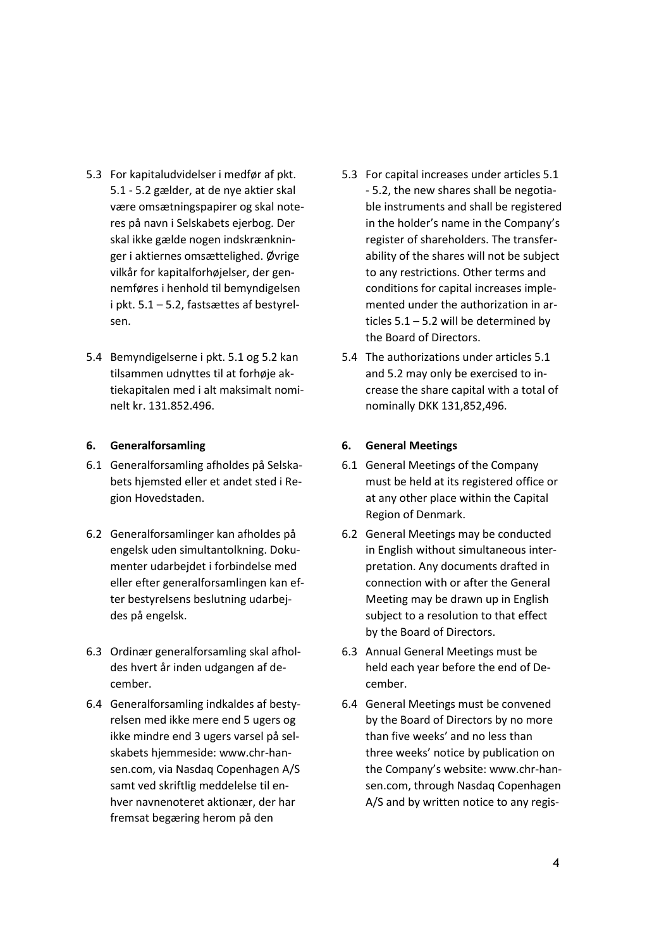- 5.3 For kapitaludvidelser i medfør af pkt. 5.1 - 5.2 gælder, at de nye aktier skal være omsætningspapirer og skal noteres på navn i Selskabets ejerbog. Der skal ikke gælde nogen indskrænkninger i aktiernes omsættelighed. Øvrige vilkår for kapitalforhøjelser, der gennemføres i henhold til bemyndigelsen i pkt. 5.1 – 5.2, fastsættes af bestyrelsen.
- 5.4 Bemyndigelserne i pkt. 5.1 og 5.2 kan tilsammen udnyttes til at forhøje aktiekapitalen med i alt maksimalt nominelt kr. 131.852.496.

#### **6. Generalforsamling**

- 6.1 Generalforsamling afholdes på Selskabets hjemsted eller et andet sted i Region Hovedstaden.
- 6.2 Generalforsamlinger kan afholdes på engelsk uden simultantolkning. Dokumenter udarbejdet i forbindelse med eller efter generalforsamlingen kan efter bestyrelsens beslutning udarbejdes på engelsk.
- 6.3 Ordinær generalforsamling skal afholdes hvert år inden udgangen af december.
- 6.4 Generalforsamling indkaldes af bestyrelsen med ikke mere end 5 ugers og ikke mindre end 3 ugers varsel på selskabets hjemmeside: www.chr-hansen.com, via Nasdaq Copenhagen A/S samt ved skriftlig meddelelse til enhver navnenoteret aktionær, der har fremsat begæring herom på den
- 5.3 For capital increases under articles 5.1 - 5.2, the new shares shall be negotiable instruments and shall be registered in the holder's name in the Company's register of shareholders. The transferability of the shares will not be subject to any restrictions. Other terms and conditions for capital increases implemented under the authorization in articles 5.1 – 5.2 will be determined by the Board of Directors.
- 5.4 The authorizations under articles 5.1 and 5.2 may only be exercised to increase the share capital with a total of nominally DKK 131,852,496.

#### **6. General Meetings**

- 6.1 General Meetings of the Company must be held at its registered office or at any other place within the Capital Region of Denmark.
- 6.2 General Meetings may be conducted in English without simultaneous interpretation. Any documents drafted in connection with or after the General Meeting may be drawn up in English subject to a resolution to that effect by the Board of Directors.
- 6.3 Annual General Meetings must be held each year before the end of December.
- 6.4 General Meetings must be convened by the Board of Directors by no more than five weeks' and no less than three weeks' notice by publication on the Company's website: www.chr-hansen.com, through Nasdaq Copenhagen A/S and by written notice to any regis-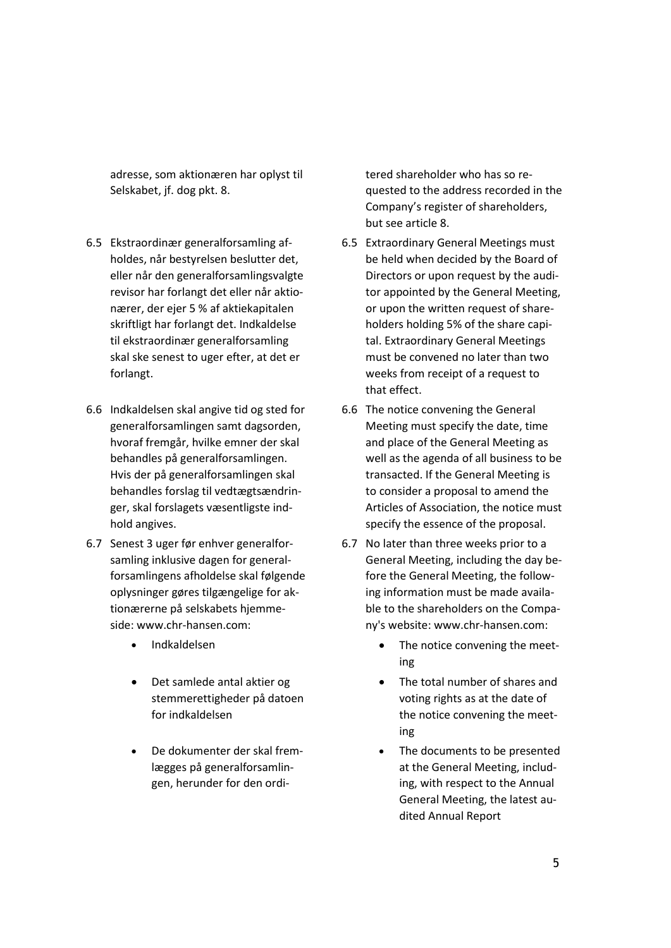adresse, som aktionæren har oplyst til Selskabet, jf. dog pkt. 8.

- 6.5 Ekstraordinær generalforsamling afholdes, når bestyrelsen beslutter det, eller når den generalforsamlingsvalgte revisor har forlangt det eller når aktionærer, der ejer 5 % af aktiekapitalen skriftligt har forlangt det. Indkaldelse til ekstraordinær generalforsamling skal ske senest to uger efter, at det er forlangt.
- 6.6 Indkaldelsen skal angive tid og sted for generalforsamlingen samt dagsorden, hvoraf fremgår, hvilke emner der skal behandles på generalforsamlingen. Hvis der på generalforsamlingen skal behandles forslag til vedtægtsændringer, skal forslagets væsentligste indhold angives.
- 6.7 Senest 3 uger før enhver generalforsamling inklusive dagen for generalforsamlingens afholdelse skal følgende oplysninger gøres tilgængelige for aktionærerne på selskabets hjemmeside: www.chr-hansen.com:
	-
	- Det samlede antal aktier og stemmerettigheder på datoen for indkaldelsen
	- De dokumenter der skal fremlægges på generalforsamlingen, herunder for den ordi-

tered shareholder who has so requested to the address recorded in the Company's register of shareholders, but see article 8.

- 6.5 Extraordinary General Meetings must be held when decided by the Board of Directors or upon request by the auditor appointed by the General Meeting, or upon the written request of shareholders holding 5% of the share capital. Extraordinary General Meetings must be convened no later than two weeks from receipt of a request to that effect.
- 6.6 The notice convening the General Meeting must specify the date, time and place of the General Meeting as well as the agenda of all business to be transacted. If the General Meeting is to consider a proposal to amend the Articles of Association, the notice must specify the essence of the proposal.
- 6.7 No later than three weeks prior to a General Meeting, including the day before the General Meeting, the following information must be made available to the shareholders on the Company's website: www.chr-hansen.com:
- Indkaldelsen **•** The notice convening the meeting
	- The total number of shares and voting rights as at the date of the notice convening the meeting
	- The documents to be presented at the General Meeting, including, with respect to the Annual General Meeting, the latest audited Annual Report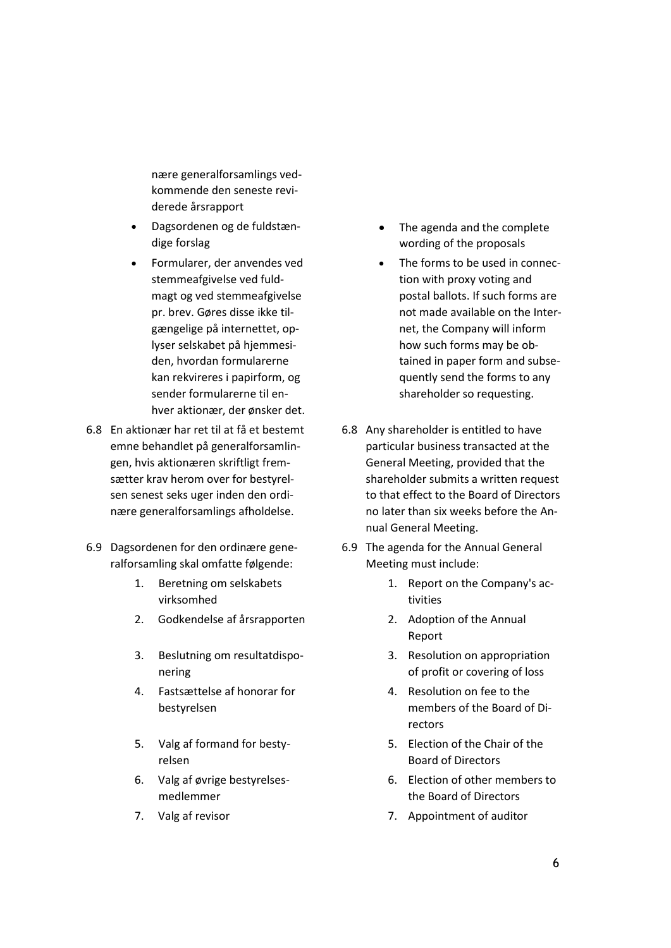nære generalforsamlings vedkommende den seneste reviderede årsrapport

- Dagsordenen og de fuldstændige forslag
- Formularer, der anvendes ved stemmeafgivelse ved fuldmagt og ved stemmeafgivelse pr. brev. Gøres disse ikke tilgængelige på internettet, oplyser selskabet på hjemmesiden, hvordan formularerne kan rekvireres i papirform, og sender formularerne til enhver aktionær, der ønsker det.
- 6.8 En aktionær har ret til at få et bestemt emne behandlet på generalforsamlingen, hvis aktionæren skriftligt fremsætter krav herom over for bestyrelsen senest seks uger inden den ordinære generalforsamlings afholdelse.
- 6.9 Dagsordenen for den ordinære generalforsamling skal omfatte følgende:
	- 1. Beretning om selskabets virksomhed
	- 2. Godkendelse af årsrapporten 2. Adoption of the Annual
	- 3. Beslutning om resultatdisponering
	- 4. Fastsættelse af honorar for bestyrelsen
	- 5. Valg af formand for bestyrelsen
	- 6. Valg af øvrige bestyrelsesmedlemmer
	-
- The agenda and the complete wording of the proposals
- The forms to be used in connection with proxy voting and postal ballots. If such forms are not made available on the Internet, the Company will inform how such forms may be obtained in paper form and subsequently send the forms to any shareholder so requesting.
- 6.8 Any shareholder is entitled to have particular business transacted at the General Meeting, provided that the shareholder submits a written request to that effect to the Board of Directors no later than six weeks before the Annual General Meeting.
- 6.9 The agenda for the Annual General Meeting must include:
	- 1. Report on the Company's activities
	- Report
	- 3. Resolution on appropriation of profit or covering of loss
	- 4. Resolution on fee to the members of the Board of Directors
	- 5. Election of the Chair of the Board of Directors
	- 6. Election of other members to the Board of Directors
- 7. Valg af revisor **7.** Appointment of auditor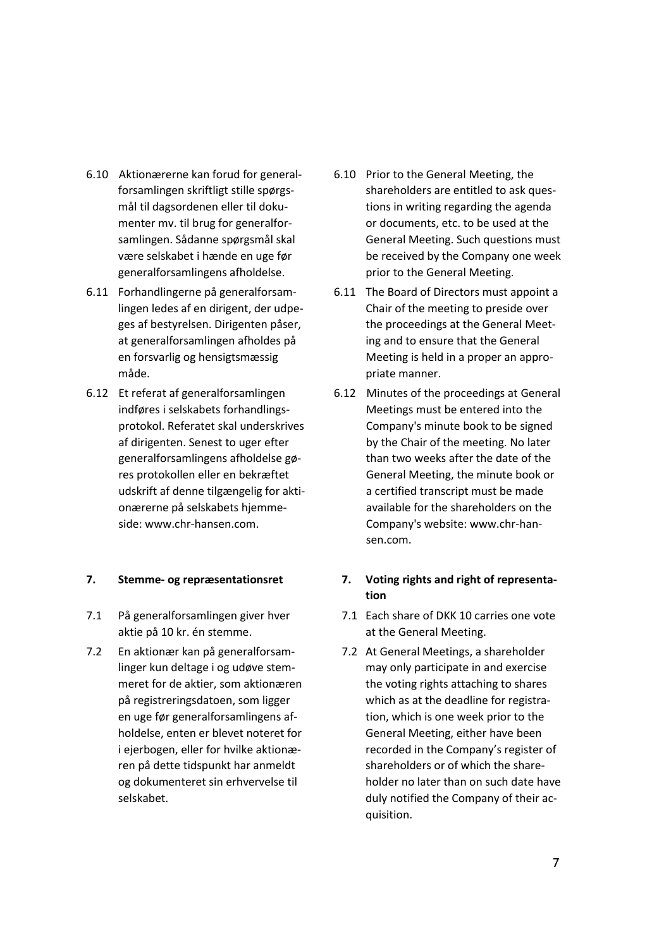- 6.10 Aktionærerne kan forud for generalforsamlingen skriftligt stille spørgsmål til dagsordenen eller til dokumenter mv. til brug for generalforsamlingen. Sådanne spørgsmål skal være selskabet i hænde en uge før generalforsamlingens afholdelse.
- 6.11 Forhandlingerne på generalforsamlingen ledes af en dirigent, der udpeges af bestyrelsen. Dirigenten påser, at generalforsamlingen afholdes på en forsvarlig og hensigtsmæssig måde.
- 6.12 Et referat af generalforsamlingen indføres i selskabets forhandlingsprotokol. Referatet skal underskrives af dirigenten. Senest to uger efter generalforsamlingens afholdelse gøres protokollen eller en bekræftet udskrift af denne tilgængelig for aktionærerne på selskabets hjemmeside: www.chr-hansen.com.

#### **7. Stemme- og repræsentationsret**

- 7.1 På generalforsamlingen giver hver aktie på 10 kr. én stemme.
- 7.2 En aktionær kan på generalforsamlinger kun deltage i og udøve stemmeret for de aktier, som aktionæren på registreringsdatoen, som ligger en uge før generalforsamlingens afholdelse, enten er blevet noteret for i ejerbogen, eller for hvilke aktionæren på dette tidspunkt har anmeldt og dokumenteret sin erhvervelse til selskabet.
- 6.10 Prior to the General Meeting, the shareholders are entitled to ask questions in writing regarding the agenda or documents, etc. to be used at the General Meeting. Such questions must be received by the Company one week prior to the General Meeting.
- 6.11 The Board of Directors must appoint a Chair of the meeting to preside over the proceedings at the General Meeting and to ensure that the General Meeting is held in a proper an appropriate manner.
- 6.12 Minutes of the proceedings at General Meetings must be entered into the Company's minute book to be signed by the Chair of the meeting. No later than two weeks after the date of the General Meeting, the minute book or a certified transcript must be made available for the shareholders on the Company's website: www.chr-hansen.com.

## **7. Voting rights and right of representation**

- 7.1 Each share of DKK 10 carries one vote at the General Meeting.
- 7.2 At General Meetings, a shareholder may only participate in and exercise the voting rights attaching to shares which as at the deadline for registration, which is one week prior to the General Meeting, either have been recorded in the Company's register of shareholders or of which the shareholder no later than on such date have duly notified the Company of their acquisition.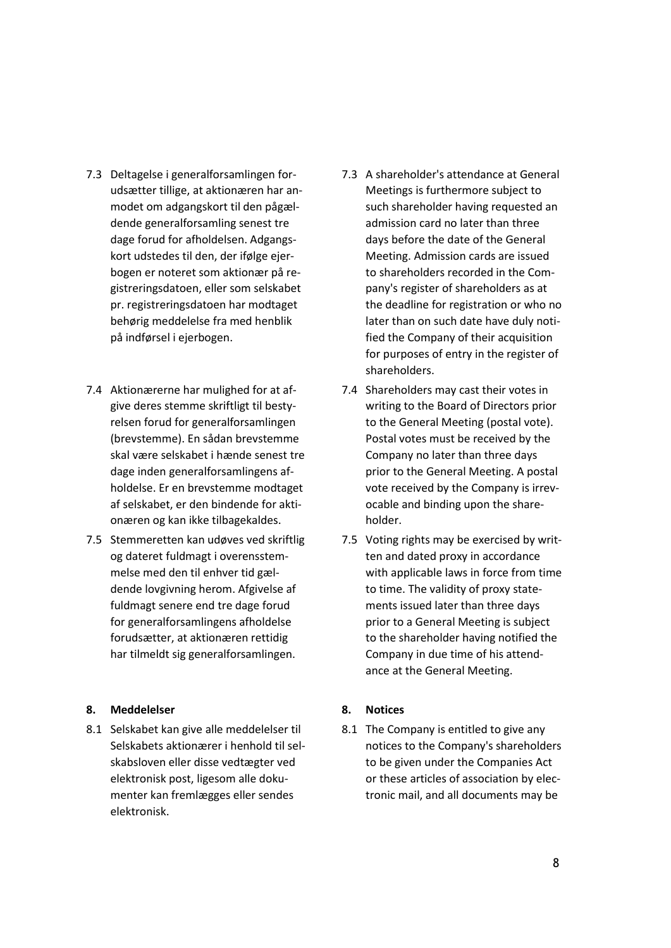- 7.3 Deltagelse i generalforsamlingen forudsætter tillige, at aktionæren har anmodet om adgangskort til den pågældende generalforsamling senest tre dage forud for afholdelsen. Adgangskort udstedes til den, der ifølge ejerbogen er noteret som aktionær på registreringsdatoen, eller som selskabet pr. registreringsdatoen har modtaget behørig meddelelse fra med henblik på indførsel i ejerbogen.
- 7.4 Aktionærerne har mulighed for at afgive deres stemme skriftligt til bestyrelsen forud for generalforsamlingen (brevstemme). En sådan brevstemme skal være selskabet i hænde senest tre dage inden generalforsamlingens afholdelse. Er en brevstemme modtaget af selskabet, er den bindende for aktionæren og kan ikke tilbagekaldes.
- 7.5 Stemmeretten kan udøves ved skriftlig og dateret fuldmagt i overensstemmelse med den til enhver tid gældende lovgivning herom. Afgivelse af fuldmagt senere end tre dage forud for generalforsamlingens afholdelse forudsætter, at aktionæren rettidig har tilmeldt sig generalforsamlingen.

#### **8. Meddelelser**

8.1 Selskabet kan give alle meddelelser til Selskabets aktionærer i henhold til selskabsloven eller disse vedtægter ved elektronisk post, ligesom alle dokumenter kan fremlægges eller sendes elektronisk.

- 7.3 A shareholder's attendance at General Meetings is furthermore subject to such shareholder having requested an admission card no later than three days before the date of the General Meeting. Admission cards are issued to shareholders recorded in the Company's register of shareholders as at the deadline for registration or who no later than on such date have duly notified the Company of their acquisition for purposes of entry in the register of shareholders.
- 7.4 Shareholders may cast their votes in writing to the Board of Directors prior to the General Meeting (postal vote). Postal votes must be received by the Company no later than three days prior to the General Meeting. A postal vote received by the Company is irrevocable and binding upon the shareholder.
- 7.5 Voting rights may be exercised by written and dated proxy in accordance with applicable laws in force from time to time. The validity of proxy statements issued later than three days prior to a General Meeting is subject to the shareholder having notified the Company in due time of his attendance at the General Meeting.

#### **8. Notices**

8.1 The Company is entitled to give any notices to the Company's shareholders to be given under the Companies Act or these articles of association by electronic mail, and all documents may be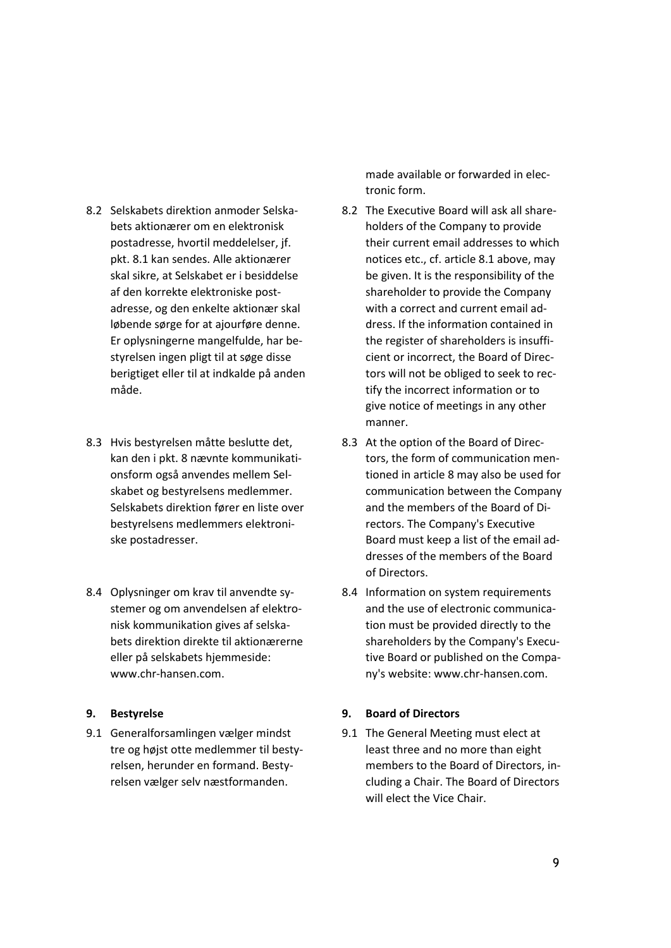- 8.2 Selskabets direktion anmoder Selskabets aktionærer om en elektronisk postadresse, hvortil meddelelser, jf. pkt. 8.1 kan sendes. Alle aktionærer skal sikre, at Selskabet er i besiddelse af den korrekte elektroniske postadresse, og den enkelte aktionær skal løbende sørge for at ajourføre denne. Er oplysningerne mangelfulde, har bestyrelsen ingen pligt til at søge disse berigtiget eller til at indkalde på anden måde.
- 8.3 Hvis bestyrelsen måtte beslutte det, kan den i pkt. 8 nævnte kommunikationsform også anvendes mellem Selskabet og bestyrelsens medlemmer. Selskabets direktion fører en liste over bestyrelsens medlemmers elektroniske postadresser.
- 8.4 Oplysninger om krav til anvendte systemer og om anvendelsen af elektronisk kommunikation gives af selskabets direktion direkte til aktionærerne eller på selskabets hjemmeside: www.chr-hansen.com.

#### **9. Bestyrelse**

9.1 Generalforsamlingen vælger mindst tre og højst otte medlemmer til bestyrelsen, herunder en formand. Bestyrelsen vælger selv næstformanden.

made available or forwarded in electronic form.

- 8.2 The Executive Board will ask all shareholders of the Company to provide their current email addresses to which notices etc., cf. article 8.1 above, may be given. It is the responsibility of the shareholder to provide the Company with a correct and current email address. If the information contained in the register of shareholders is insufficient or incorrect, the Board of Directors will not be obliged to seek to rectify the incorrect information or to give notice of meetings in any other manner.
- 8.3 At the option of the Board of Directors, the form of communication mentioned in article 8 may also be used for communication between the Company and the members of the Board of Directors. The Company's Executive Board must keep a list of the email addresses of the members of the Board of Directors.
- 8.4 Information on system requirements and the use of electronic communication must be provided directly to the shareholders by the Company's Executive Board or published on the Company's website: www.chr-hansen.com.

## **9. Board of Directors**

9.1 The General Meeting must elect at least three and no more than eight members to the Board of Directors, including a Chair. The Board of Directors will elect the Vice Chair.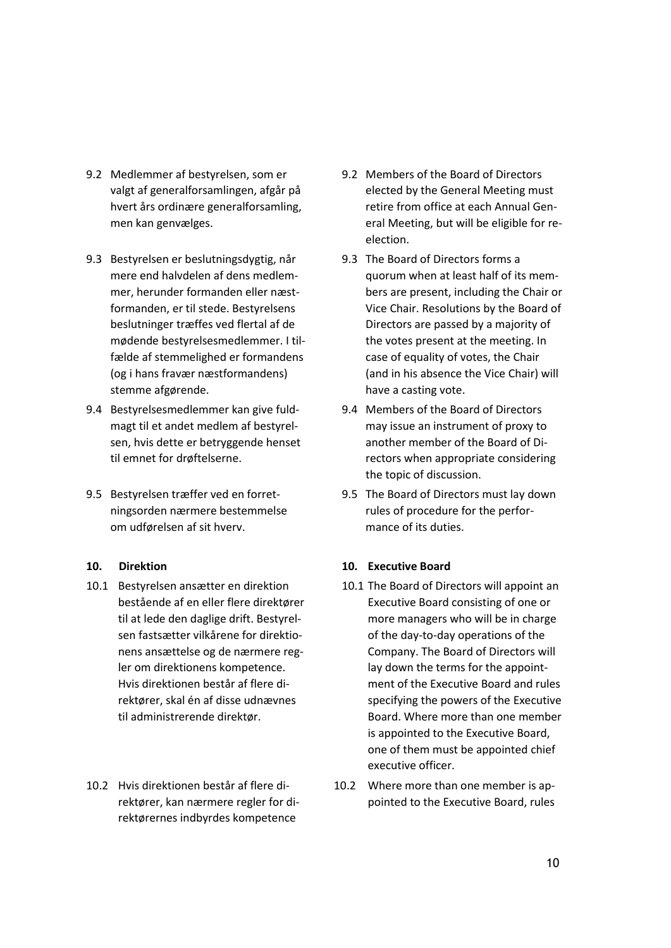- 9.2 Medlemmer af bestyrelsen, som er valgt af generalforsamlingen, afgår på hvert års ordinære generalforsamling, men kan genvælges.
- 9.3 Bestyrelsen er beslutningsdygtig, når mere end halvdelen af dens medlemmer, herunder formanden eller næstformanden, er til stede. Bestyrelsens beslutninger træffes ved flertal af de mødende bestyrelsesmedlemmer. I tilfælde af stemmelighed er formandens (og i hans fravær næstformandens) stemme afgørende.
- 9.4 Bestyrelsesmedlemmer kan give fuldmagt til et andet medlem af bestyrelsen, hvis dette er betryggende henset til emnet for drøftelserne.
- 9.5 Bestyrelsen træffer ved en forretningsorden nærmere bestemmelse om udførelsen af sit hverv.

#### **10. Direktion**

- 10.1 Bestyrelsen ansætter en direktion bestående af en eller flere direktører til at lede den daglige drift. Bestyrelsen fastsætter vilkårene for direktionens ansættelse og de nærmere regler om direktionens kompetence. Hvis direktionen består af flere direktører, skal én af disse udnævnes til administrerende direktør.
- 10.2 Hvis direktionen består af flere direktører, kan nærmere regler for direktørernes indbyrdes kompetence
- 9.2 Members of the Board of Directors elected by the General Meeting must retire from office at each Annual General Meeting, but will be eligible for reelection.
- 9.3 The Board of Directors forms a quorum when at least half of its members are present, including the Chair or Vice Chair. Resolutions by the Board of Directors are passed by a majority of the votes present at the meeting. In case of equality of votes, the Chair (and in his absence the Vice Chair) will have a casting vote.
- 9.4 Members of the Board of Directors may issue an instrument of proxy to another member of the Board of Directors when appropriate considering the topic of discussion.
- 9.5 The Board of Directors must lay down rules of procedure for the performance of its duties.

#### **10. Executive Board**

- 10.1 The Board of Directors will appoint an Executive Board consisting of one or more managers who will be in charge of the day-to-day operations of the Company. The Board of Directors will lay down the terms for the appointment of the Executive Board and rules specifying the powers of the Executive Board. Where more than one member is appointed to the Executive Board, one of them must be appointed chief executive officer.
- 10.2 Where more than one member is appointed to the Executive Board, rules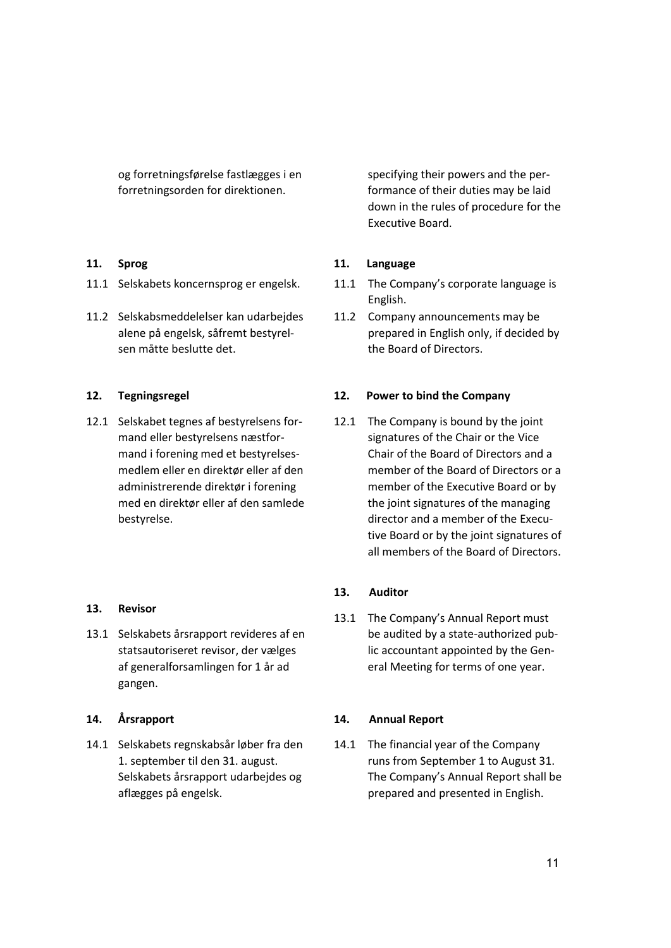og forretningsførelse fastlægges i en forretningsorden for direktionen.

### **11. Sprog**

- 11.1 Selskabets koncernsprog er engelsk.
- 11.2 Selskabsmeddelelser kan udarbejdes alene på engelsk, såfremt bestyrelsen måtte beslutte det.

### **12. Tegningsregel**

12.1 Selskabet tegnes af bestyrelsens formand eller bestyrelsens næstformand i forening med et bestyrelsesmedlem eller en direktør eller af den administrerende direktør i forening med en direktør eller af den samlede bestyrelse.

#### **13. Revisor**

13.1 Selskabets årsrapport revideres af en statsautoriseret revisor, der vælges af generalforsamlingen for 1 år ad gangen.

#### **14. Årsrapport**

14.1 Selskabets regnskabsår løber fra den 1. september til den 31. august. Selskabets årsrapport udarbejdes og aflægges på engelsk.

specifying their powers and the performance of their duties may be laid down in the rules of procedure for the Executive Board.

## **11. Language**

- 11.1 The Company's corporate language is English.
- 11.2 Company announcements may be prepared in English only, if decided by the Board of Directors.

### **12. Power to bind the Company**

12.1 The Company is bound by the joint signatures of the Chair or the Vice Chair of the Board of Directors and a member of the Board of Directors or a member of the Executive Board or by the joint signatures of the managing director and a member of the Executive Board or by the joint signatures of all members of the Board of Directors.

#### **13. Auditor**

13.1 The Company's Annual Report must be audited by a state-authorized public accountant appointed by the General Meeting for terms of one year.

#### **14. Annual Report**

14.1 The financial year of the Company runs from September 1 to August 31. The Company's Annual Report shall be prepared and presented in English.